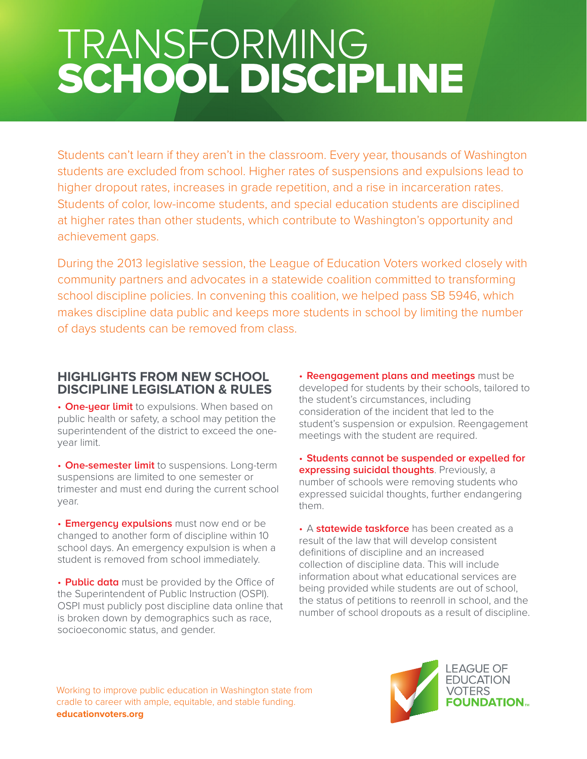# TRANSFORMING SCHOOL DISCIPLINE

Students can't learn if they aren't in the classroom. Every year, thousands of Washington students are excluded from school. Higher rates of suspensions and expulsions lead to higher dropout rates, increases in grade repetition, and a rise in incarceration rates. Students of color, low-income students, and special education students are disciplined at higher rates than other students, which contribute to Washington's opportunity and achievement gaps.

During the 2013 legislative session, the League of Education Voters worked closely with community partners and advocates in a statewide coalition committed to transforming school discipline policies. In convening this coalition, we helped pass SB 5946, which makes discipline data public and keeps more students in school by limiting the number of days students can be removed from class.

## **HIGHLIGHTS FROM NEW SCHOOL DISCIPLINE LEGISLATION & RULES**

• **One-year limit** to expulsions. When based on public health or safety, a school may petition the superintendent of the district to exceed the oneyear limit.

• **One-semester limit** to suspensions. Long-term suspensions are limited to one semester or trimester and must end during the current school year.

• **Emergency expulsions** must now end or be changed to another form of discipline within 10 school days. An emergency expulsion is when a student is removed from school immediately.

• **Public data** must be provided by the Office of the Superintendent of Public Instruction (OSPI). OSPI must publicly post discipline data online that is broken down by demographics such as race, socioeconomic status, and gender.

• **Reengagement plans and meetings** must be developed for students by their schools, tailored to the student's circumstances, including consideration of the incident that led to the student's suspension or expulsion. Reengagement meetings with the student are required.

• **Students cannot be suspended or expelled for expressing suicidal thoughts**. Previously, a number of schools were removing students who expressed suicidal thoughts, further endangering them.

• A **statewide taskforce** has been created as a result of the law that will develop consistent definitions of discipline and an increased collection of discipline data. This will include information about what educational services are being provided while students are out of school, the status of petitions to reenroll in school, and the number of school dropouts as a result of discipline.

Working to improve public education in Washington state from cradle to career with ample, equitable, and stable funding. **educationvoters.org**